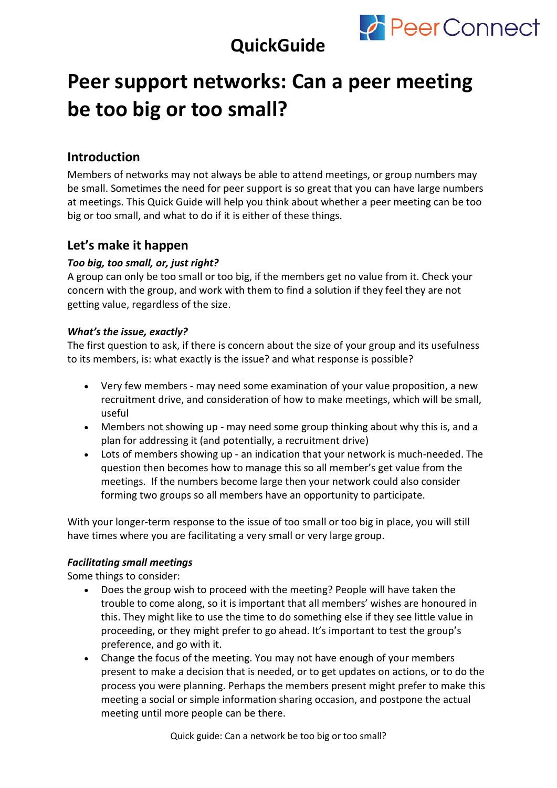

## **QuickGuide**

# **Peer support networks: Can a peer meeting be too big or too small?**

## **Introduction**

Members of networks may not always be able to attend meetings, or group numbers may be small. Sometimes the need for peer support is so great that you can have large numbers at meetings. This Quick Guide will help you think about whether a peer meeting can be too big or too small, and what to do if it is either of these things.

### **Let's make it happen**

#### *Too big, too small, or, just right?*

A group can only be too small or too big, if the members get no value from it. Check your concern with the group, and work with them to find a solution if they feel they are not getting value, regardless of the size.

#### *What's the issue, exactly?*

The first question to ask, if there is concern about the size of your group and its usefulness to its members, is: what exactly is the issue? and what response is possible?

- Very few members may need some examination of your value proposition, a new recruitment drive, and consideration of how to make meetings, which will be small, useful
- Members not showing up may need some group thinking about why this is, and a plan for addressing it (and potentially, a recruitment drive)
- Lots of members showing up an indication that your network is much-needed. The question then becomes how to manage this so all member's get value from the meetings. If the numbers become large then your network could also consider forming two groups so all members have an opportunity to participate.

With your longer-term response to the issue of too small or too big in place, you will still have times where you are facilitating a very small or very large group.

#### *Facilitating small meetings*

Some things to consider:

- Does the group wish to proceed with the meeting? People will have taken the trouble to come along, so it is important that all members' wishes are honoured in this. They might like to use the time to do something else if they see little value in proceeding, or they might prefer to go ahead. It's important to test the group's preference, and go with it.
- Change the focus of the meeting. You may not have enough of your members present to make a decision that is needed, or to get updates on actions, or to do the process you were planning. Perhaps the members present might prefer to make this meeting a social or simple information sharing occasion, and postpone the actual meeting until more people can be there.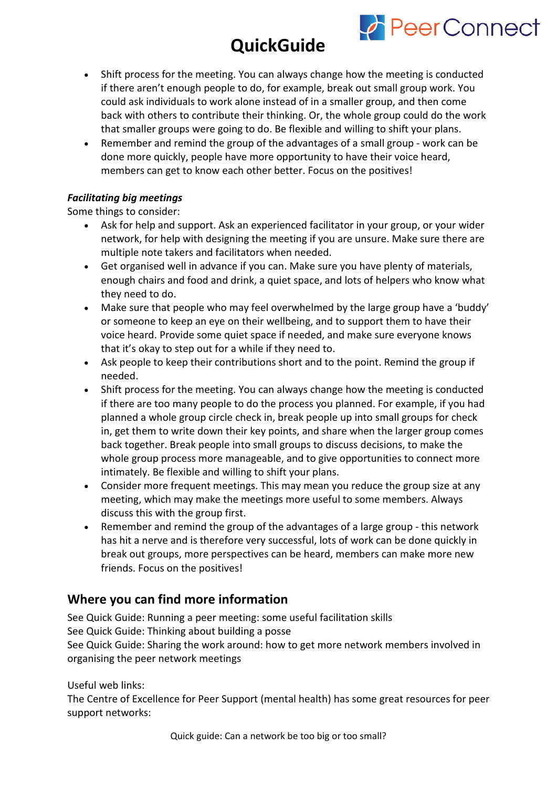# **QuickGuide**

**PeerConnect** 

- Shift process for the meeting. You can always change how the meeting is conducted if there aren't enough people to do, for example, break out small group work. You could ask individuals to work alone instead of in a smaller group, and then come back with others to contribute their thinking. Or, the whole group could do the work that smaller groups were going to do. Be flexible and willing to shift your plans.
- Remember and remind the group of the advantages of a small group work can be done more quickly, people have more opportunity to have their voice heard, members can get to know each other better. Focus on the positives!

#### *Facilitating big meetings*

Some things to consider:

- Ask for help and support. Ask an experienced facilitator in your group, or your wider network, for help with designing the meeting if you are unsure. Make sure there are multiple note takers and facilitators when needed.
- Get organised well in advance if you can. Make sure you have plenty of materials, enough chairs and food and drink, a quiet space, and lots of helpers who know what they need to do.
- Make sure that people who may feel overwhelmed by the large group have a 'buddy' or someone to keep an eye on their wellbeing, and to support them to have their voice heard. Provide some quiet space if needed, and make sure everyone knows that it's okay to step out for a while if they need to.
- Ask people to keep their contributions short and to the point. Remind the group if needed.
- Shift process for the meeting. You can always change how the meeting is conducted if there are too many people to do the process you planned. For example, if you had planned a whole group circle check in, break people up into small groups for check in, get them to write down their key points, and share when the larger group comes back together. Break people into small groups to discuss decisions, to make the whole group process more manageable, and to give opportunities to connect more intimately. Be flexible and willing to shift your plans.
- Consider more frequent meetings. This may mean you reduce the group size at any meeting, which may make the meetings more useful to some members. Always discuss this with the group first.
- Remember and remind the group of the advantages of a large group this network has hit a nerve and is therefore very successful, lots of work can be done quickly in break out groups, more perspectives can be heard, members can make more new friends. Focus on the positives!

### **Where you can find more information**

See Quick Guide: Running a peer meeting: some useful facilitation skills See Quick Guide: Thinking about building a posse See Quick Guide: Sharing the work around: how to get more network members involved in organising the peer network meetings

Useful web links:

The Centre of Excellence for Peer Support (mental health) has some great resources for peer support networks: